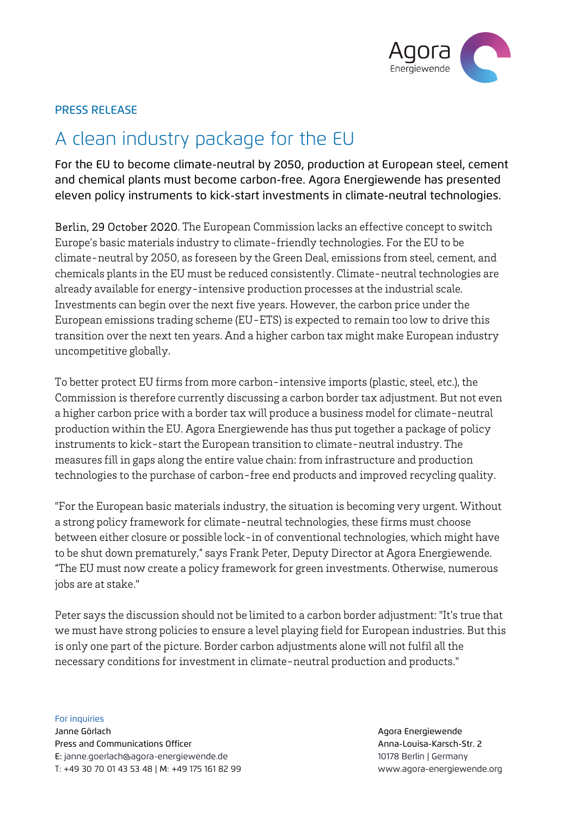

## PRESS RELEASE

# A clean industry package for the EU

For the EU to become climate-neutral by 2050, production at European steel, cement and chemical plants must become carbon-free. Agora Energiewende has presented eleven policy instruments to kick-start investments in climate-neutral technologies.

Berlin, 29 October 2020. The European Commission lacks an effective concept to switch Europe's basic materials industry to climate-friendly technologies. For the EU to be climate-neutral by 2050, as foreseen by the Green Deal, emissions from steel, cement, and chemicals plants in the EU must be reduced consistently. Climate-neutral technologies are already available for energy-intensive production processes at the industrial scale. Investments can begin over the next five years. However, the carbon price under the European emissions trading scheme (EU-ETS) is expected to remain too low to drive this transition over the next ten years. And a higher carbon tax might make European industry uncompetitive globally.

To better protect EU firms from more carbon-intensive imports (plastic, steel, etc.), the Commission is therefore currently discussing a carbon border tax adjustment. But not even a higher carbon price with a border tax will produce a business model for climate-neutral production within the EU. Agora Energiewende has thus put together a package of policy instruments to kick-start the European transition to climate-neutral industry. The measures fill in gaps along the entire value chain: from infrastructure and production technologies to the purchase of carbon-free end products and improved recycling quality.

"For the European basic materials industry, the situation is becoming very urgent. Without a strong policy framework for climate-neutral technologies, these firms must choose between either closure or possible lock-in of conventional technologies, which might have to be shut down prematurely," says Frank Peter, Deputy Director at Agora Energiewende. "The EU must now create a policy framework for green investments. Otherwise, numerous jobs are at stake."

Peter says the discussion should not be limited to a carbon border adjustment: "It's true that we must have strong policies to ensure a level playing field for European industries. But this is only one part of the picture. Border carbon adjustments alone will not fulfil all the necessary conditions for investment in climate-neutral production and products."

For inquiries Janne Görlach Agora Energiewende Press and Communications Officer Annual Communications Officer Anna-Louisa-Karsch-Str. 2 E: janne.goerlach@agora-energiewende.de 10178 Berlin | Germany T: +49 30 70 01 43 53 48 | M: +49 175 161 82 99 www.agora-energiewende.org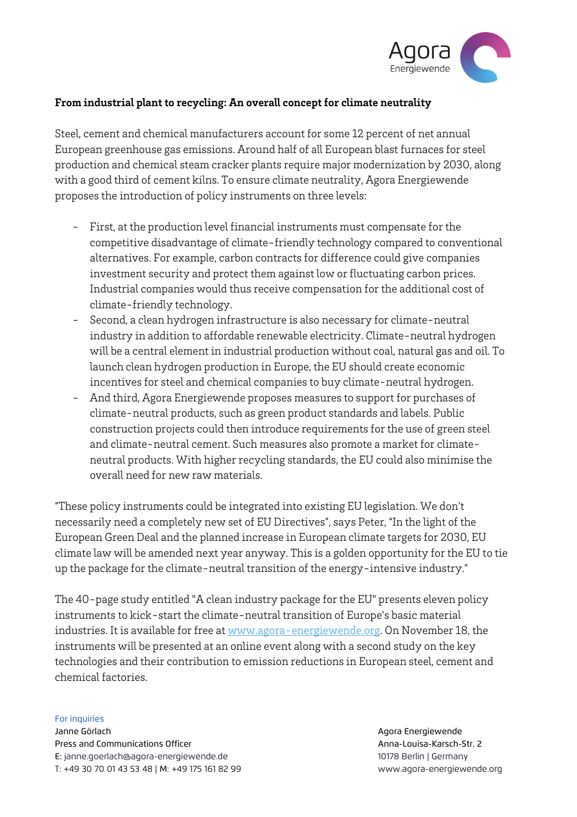

### **From industrial plant to recycling: An overall concept for climate neutrality**

Steel, cement and chemical manufacturers account for some 12 percent of net annual European greenhouse gas emissions. Around half of all European blast furnaces for steel production and chemical steam cracker plants require major modernization by 2030, along with a good third of cement kilns. To ensure climate neutrality, Agora Energiewende proposes the introduction of policy instruments on three levels:

- First, at the production level financial instruments must compensate for the competitive disadvantage of climate-friendly technology compared to conventional alternatives. For example, carbon contracts for difference could give companies investment security and protect them against low or fluctuating carbon prices. Industrial companies would thus receive compensation for the additional cost of climate-friendly technology.
- Second, a clean hydrogen infrastructure is also necessary for climate-neutral industry in addition to affordable renewable electricity. Climate-neutral hydrogen will be a central element in industrial production without coal, natural gas and oil. To launch clean hydrogen production in Europe, the EU should create economic incentives for steel and chemical companies to buy climate-neutral hydrogen.
- And third, Agora Energiewende proposes measures to support for purchases of climate-neutral products, such as green product standards and labels. Public construction projects could then introduce requirements for the use of green steel and climate-neutral cement. Such measures also promote a market for climateneutral products. With higher recycling standards, the EU could also minimise the overall need for new raw materials.

"These policy instruments could be integrated into existing EU legislation. We don't necessarily need a completely new set of EU Directives", says Peter, "In the light of the European Green Deal and the planned increase in European climate targets for 2030, EU climate law will be amended next year anyway. This is a golden opportunity for the EU to tie up the package for the climate-neutral transition of the energy-intensive industry."

The 40-page study entitled "A clean industry package for the EU" presents eleven policy instruments to kick-start the climate-neutral transition of Europe's basic material industries. It is available for free at www.agora-energiewende.org. On November 18, the instruments will be presented at an online event along with a second study on the key technologies and their contribution to emission reductions in European steel, cement and chemical factories.

#### For inquiries

Janne Görlach Agora Energiewende Press and Communications Officer Anna-Louisa-Karsch-Str. 2 E: janne.goerlach@agora-energiewende.de 10178 Berlin | Germany T: +49 30 70 01 43 53 48 | M: +49 175 161 82 99 www.agora-energiewende.org